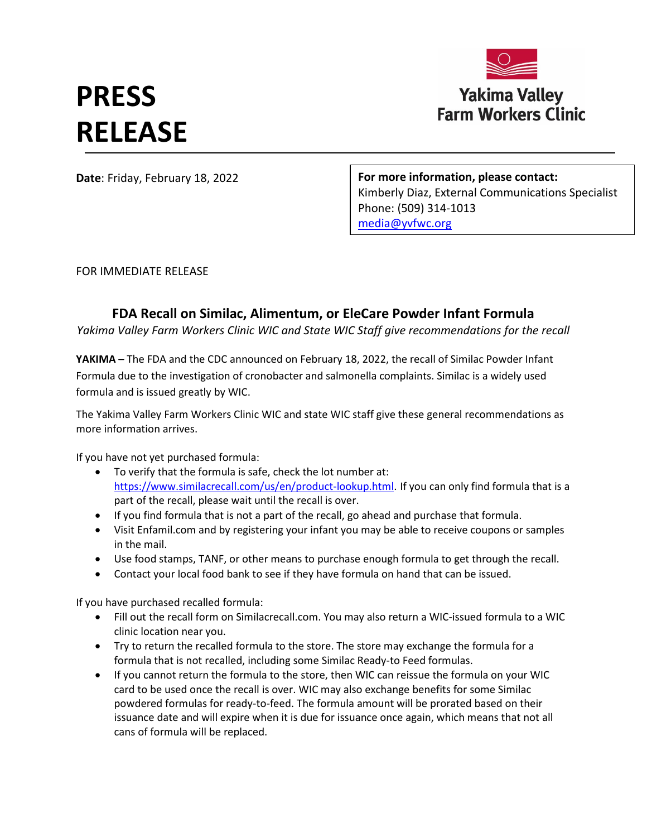## **PRESS RELEASE**



**Date**: Friday, February 18, 2022

**For more information, please contact:**  Kimberly Diaz, External Communications Specialist Phone: (509) 314-1013 [media@yvfwc.org](mailto:media@yvfwc.org)

FOR IMMEDIATE RELEASE

## **FDA Recall on Similac, Alimentum, or EleCare Powder Infant Formula**

*Yakima Valley Farm Workers Clinic WIC and State WIC Staff give recommendations for the recall*

**YAKIMA –** The FDA and the CDC announced on February 18, 2022, the recall of Similac Powder Infant Formula due to the investigation of cronobacter and salmonella complaints. Similac is a widely used formula and is issued greatly by WIC.

The Yakima Valley Farm Workers Clinic WIC and state WIC staff give these general recommendations as more information arrives.

If you have not yet purchased formula:

- To verify that the formula is safe, check the lot number at: [https://www.similacrecall.com/us/en/product-lookup.html.](https://www.similacrecall.com/us/en/product-lookup.html) If you can only find formula that is a part of the recall, please wait until the recall is over.
- If you find formula that is not a part of the recall, go ahead and purchase that formula.
- Visit Enfamil.com and by registering your infant you may be able to receive coupons or samples in the mail.
- Use food stamps, TANF, or other means to purchase enough formula to get through the recall.
- Contact your local food bank to see if they have formula on hand that can be issued.

If you have purchased recalled formula:

- Fill out the recall form on Similacrecall.com. You may also return a WIC-issued formula to a WIC clinic location near you.
- Try to return the recalled formula to the store. The store may exchange the formula for a formula that is not recalled, including some Similac Ready-to Feed formulas.
- If you cannot return the formula to the store, then WIC can reissue the formula on your WIC card to be used once the recall is over. WIC may also exchange benefits for some Similac powdered formulas for ready-to-feed. The formula amount will be prorated based on their issuance date and will expire when it is due for issuance once again, which means that not all cans of formula will be replaced.